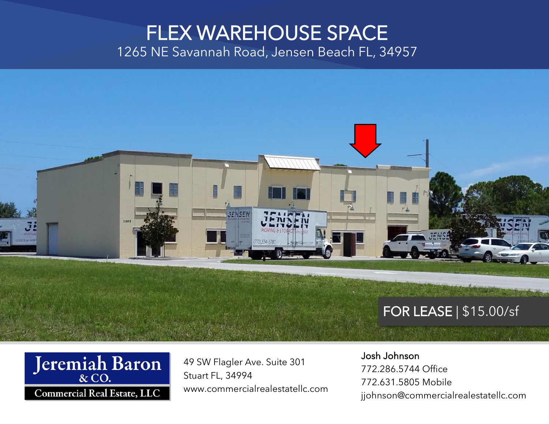### FLEX WAREHOUSE SPACE 1265 NE Savannah Road, Jensen Beach FL, 34957



### FOR LEASE | \$15.00/sf



49 SW Flagler Ave. Suite 301 Stuart FL, 34994 www.commercialrealestatellc.com

#### Josh Johnson

772.286.5744 Office 772.631.5805 Mobile jjohnson@commercialrealestatellc.com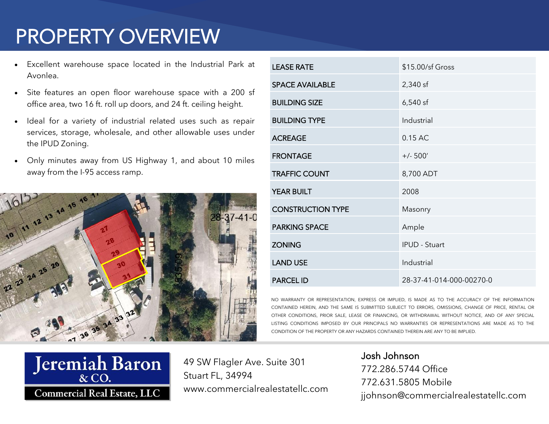# PROPERTY OVERVIEW

- Excellent warehouse space located in the Industrial Park at Avonlea.
- Site features an open floor warehouse space with a 200 sf office area, two 16 ft. roll up doors, and 24 ft. ceiling height.
- Ideal for a variety of industrial related uses such as repair services, storage, wholesale, and other allowable uses under the IPUD Zoning.
- Only minutes away from US Highway 1, and about 10 miles away from the I-95 access ramp.



| <b>LEASE RATE</b>        | \$15.00/sf Gross         |
|--------------------------|--------------------------|
| <b>SPACE AVAILABLE</b>   | 2,340 sf                 |
| <b>BUILDING SIZE</b>     | $6,540$ sf               |
| <b>BUILDING TYPE</b>     | Industrial               |
| <b>ACREAGE</b>           | 0.15 AC                  |
| <b>FRONTAGE</b>          | $+/- 500'$               |
| <b>TRAFFIC COUNT</b>     | 8,700 ADT                |
| <b>YEAR BUILT</b>        | 2008                     |
| <b>CONSTRUCTION TYPE</b> | Masonry                  |
| <b>PARKING SPACE</b>     | Ample                    |
| <b>ZONING</b>            | <b>IPUD - Stuart</b>     |
| <b>LAND USE</b>          | Industrial               |
| <b>PARCEL ID</b>         | 28-37-41-014-000-00270-0 |

NO WARRANTY OR REPRESENTATION, EXPRESS OR IMPLIED, IS MADE AS TO THE ACCURACY CONTAINED HEREIN. AND THE SAME IS SUBMITTED SUBJECT TO ERRORS, OMISSIONS, CHANGE OF PRICE, OTHER CONDITIONS, PRIOR SALE, LEASE OR FINANCING, OR WITHDRAWAL WITHOUT NOTICE, AND OF ANY SPECIAL LISTING CONDITIONS IMPOSED BY OUR PRINCIPALS NO WARRANTIES OR REPRESENTATIONS ARE MADE AS TO THE CONDITION OF THE PROPERTY OR ANY HAZARDS CONTAINED THEREIN ARE ANY TO BE IMPLIED.



49 SW Flagler Ave. Suite 301 Stuart FL, 34994 www.commercialrealestatellc.com

Josh Johnson 772.286.5744 Office 772.631.5805 Mobile jjohnson@commercialrealestatellc.com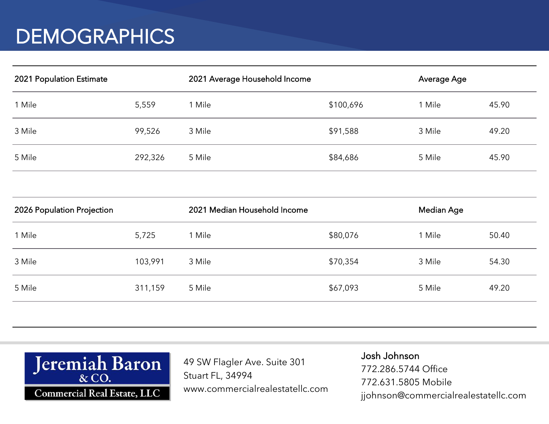## **DEMOGRAPHICS**

| 2021 Population Estimate |         | 2021 Average Household Income |           | Average Age |       |
|--------------------------|---------|-------------------------------|-----------|-------------|-------|
| 1 Mile                   | 5,559   | 1 Mile                        | \$100,696 | l Mile      | 45.90 |
| 3 Mile                   | 99,526  | 3 Mile                        | \$91,588  | 3 Mile      | 49.20 |
| 5 Mile                   | 292,326 | 5 Mile                        | \$84,686  | 5 Mile      | 45.90 |

| 2026 Population Projection |         | 2021 Median Household Income |          | Median Age |       |
|----------------------------|---------|------------------------------|----------|------------|-------|
| 1 Mile                     | 5,725   | Mile                         | \$80,076 | 1 Mile     | 50.40 |
| 3 Mile                     | 103,991 | 3 Mile                       | \$70,354 | 3 Mile     | 54.30 |
| 5 Mile                     | 311,159 | 5 Mile                       | \$67,093 | 5 Mile     | 49.20 |
|                            |         |                              |          |            |       |



49 SW Flagler Ave. Suite 301 Stuart FL, 34994 www.commercialrealestatellc.com

Josh Johnson 772.286.5744 Office 772.631.5805 Mobile jjohnson@commercialrealestatellc.com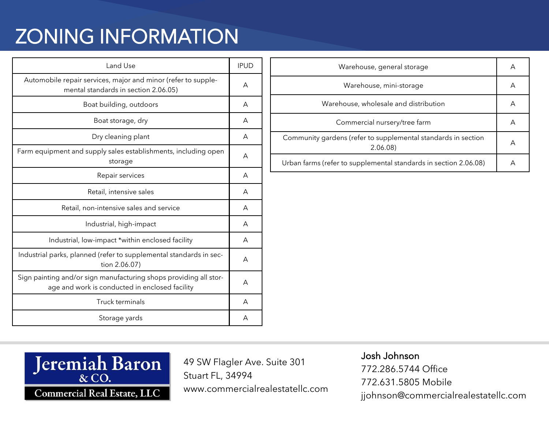# ZONING INFORMATION

| Land Use                                                                                                            | <b>IPUD</b> |
|---------------------------------------------------------------------------------------------------------------------|-------------|
| Automobile repair services, major and minor (refer to supple-<br>mental standards in section 2.06.05)               | A           |
| Boat building, outdoors                                                                                             | A           |
| Boat storage, dry                                                                                                   | A           |
| Dry cleaning plant                                                                                                  | A           |
| Farm equipment and supply sales establishments, including open<br>storage                                           | A           |
| Repair services                                                                                                     | А           |
| Retail, intensive sales                                                                                             | A           |
| Retail, non-intensive sales and service                                                                             | A           |
| Industrial, high-impact                                                                                             | A           |
| Industrial, low-impact *within enclosed facility                                                                    | A           |
| Industrial parks, planned (refer to supplemental standards in sec-<br>tion 2.06.07)                                 |             |
| Sign painting and/or sign manufacturing shops providing all stor-<br>age and work is conducted in enclosed facility | A           |
| <b>Truck terminals</b>                                                                                              | A           |
| Storage yards                                                                                                       | А           |

| Warehouse, general storage                                                |   |
|---------------------------------------------------------------------------|---|
| Warehouse, mini-storage                                                   |   |
| Warehouse, wholesale and distribution                                     | А |
| Commercial nursery/tree farm                                              |   |
| Community gardens (refer to supplemental standards in section<br>2.06.08) |   |
| Urban farms (refer to supplemental standards in section 2.06.08)          | А |



49 SW Flagler Ave. Suite 301 Stuart FL, 34994 www.commercialrealestatellc.com

#### Josh Johnson

772.286.5744 Office 772.631.5805 Mobile jjohnson@commercialrealestatellc.com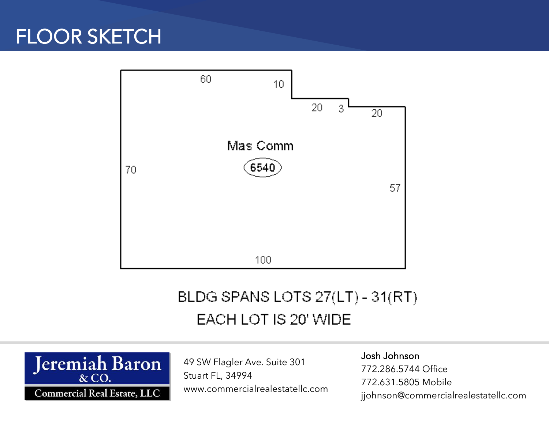## FLOOR SKETCH



### BLDG SPANS LOTS 27(LT) - 31(RT) EACH LOT IS 20' WIDE



49 SW Flagler Ave. Suite 301 Stuart FL, 34994 www.commercialrealestatellc.com

#### Josh Johnson

772.286.5744 Office 772.631.5805 Mobile jjohnson@commercialrealestatellc.com